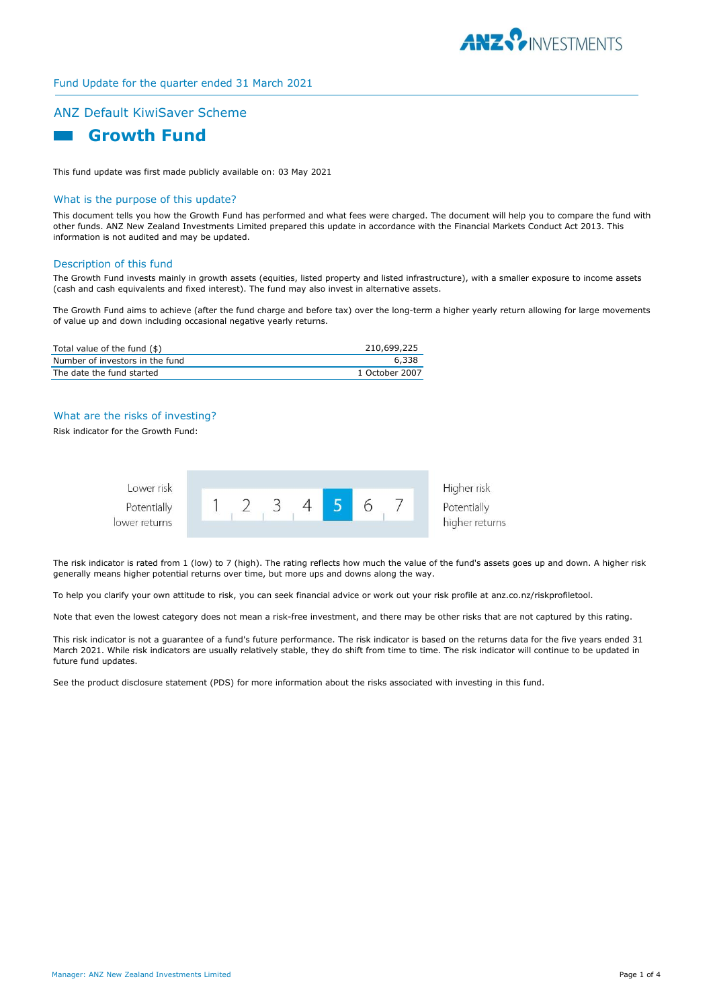

## Fund Update for the quarter ended 31 March 2021

# ANZ Default KiwiSaver Scheme



This fund update was first made publicly available on: 03 May 2021

## What is the purpose of this update?

This document tells you how the Growth Fund has performed and what fees were charged. The document will help you to compare the fund with other funds. ANZ New Zealand Investments Limited prepared this update in accordance with the Financial Markets Conduct Act 2013. This information is not audited and may be updated.

#### Description of this fund

The Growth Fund invests mainly in growth assets (equities, listed property and listed infrastructure), with a smaller exposure to income assets (cash and cash equivalents and fixed interest). The fund may also invest in alternative assets.

The Growth Fund aims to achieve (after the fund charge and before tax) over the long-term a higher yearly return allowing for large movements of value up and down including occasional negative yearly returns.

| Total value of the fund (\$)    | 210,699,225    |
|---------------------------------|----------------|
| Number of investors in the fund | 6.338          |
| The date the fund started       | 1 October 2007 |

# What are the risks of investing?

Risk indicator for the Growth Fund:



The risk indicator is rated from 1 (low) to 7 (high). The rating reflects how much the value of the fund's assets goes up and down. A higher risk generally means higher potential returns over time, but more ups and downs along the way.

To help you clarify your own attitude to risk, you can seek financial advice or work out your risk profile at anz.co.nz/riskprofiletool.

Note that even the lowest category does not mean a risk-free investment, and there may be other risks that are not captured by this rating.

This risk indicator is not a guarantee of a fund's future performance. The risk indicator is based on the returns data for the five years ended 31 March 2021. While risk indicators are usually relatively stable, they do shift from time to time. The risk indicator will continue to be updated in future fund updates.

See the product disclosure statement (PDS) for more information about the risks associated with investing in this fund.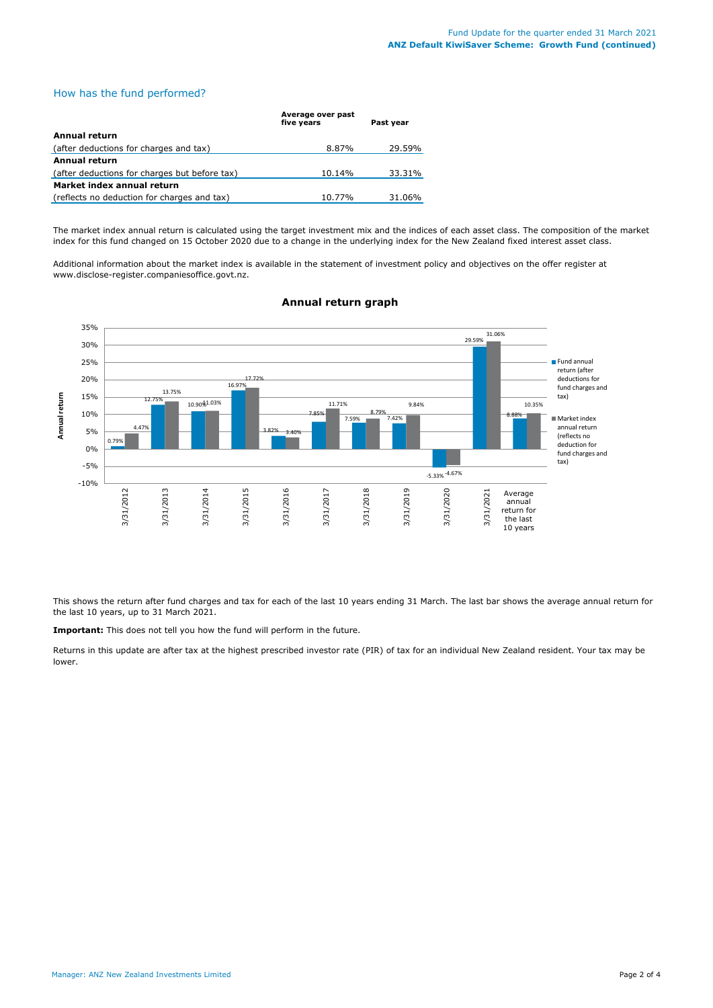## How has the fund performed?

|                                               | Average over past<br>five years | Past year |
|-----------------------------------------------|---------------------------------|-----------|
| Annual return                                 |                                 |           |
| (after deductions for charges and tax)        | 8.87%                           | 29.59%    |
| Annual return                                 |                                 |           |
| (after deductions for charges but before tax) | 10.14%                          | 33.31%    |
| Market index annual return                    |                                 |           |
| (reflects no deduction for charges and tax)   | 10.77%                          | 31.06%    |

The market index annual return is calculated using the target investment mix and the indices of each asset class. The composition of the market index for this fund changed on 15 October 2020 due to a change in the underlying index for the New Zealand fixed interest asset class.

Additional information about the market index is available in the statement of investment policy and objectives on the offer register at www.disclose-register.companiesoffice.govt.nz.



# **Annual return graph**

This shows the return after fund charges and tax for each of the last 10 years ending 31 March. The last bar shows the average annual return for the last 10 years, up to 31 March 2021.

**Important:** This does not tell you how the fund will perform in the future.

Returns in this update are after tax at the highest prescribed investor rate (PIR) of tax for an individual New Zealand resident. Your tax may be lower.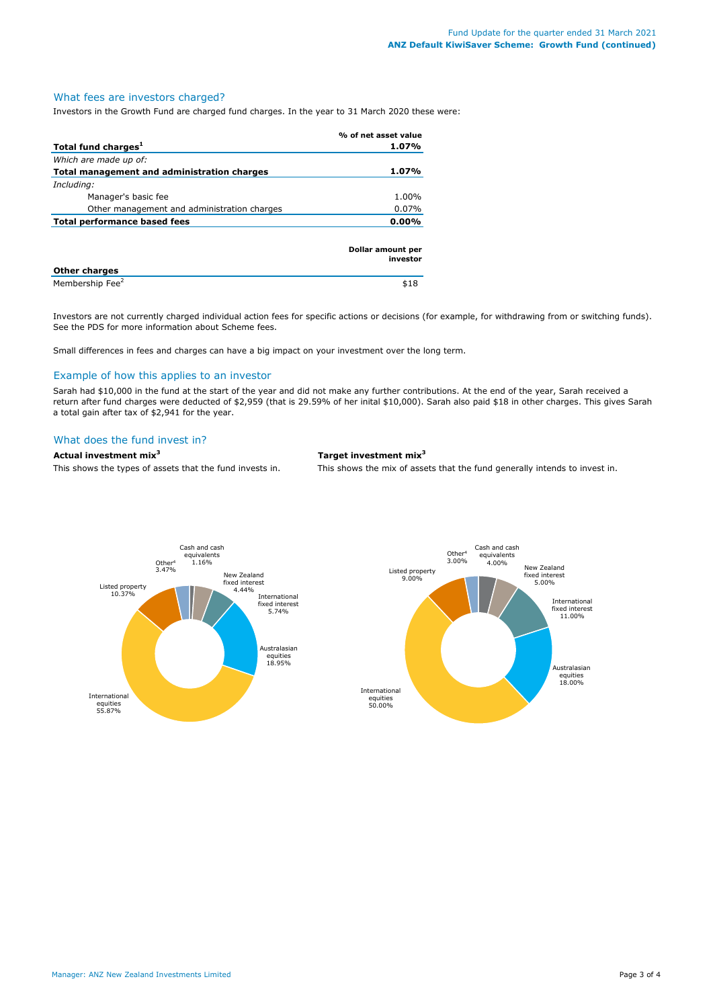## What fees are investors charged?

Investors in the Growth Fund are charged fund charges. In the year to 31 March 2020 these were:

|                                             | % of net asset value          |
|---------------------------------------------|-------------------------------|
| Total fund charges <sup>1</sup>             | 1.07%                         |
| Which are made up of:                       |                               |
| Total management and administration charges | 1.07%                         |
| Including:                                  |                               |
| Manager's basic fee                         | 1.00%                         |
| Other management and administration charges | $0.07\%$                      |
| <b>Total performance based fees</b>         | 0.00%                         |
| Other charges                               | Dollar amount per<br>investor |

**Other charges**  Membership Fee<sup>2</sup> \$18

Investors are not currently charged individual action fees for specific actions or decisions (for example, for withdrawing from or switching funds). See the PDS for more information about Scheme fees.

Small differences in fees and charges can have a big impact on your investment over the long term.

## Example of how this applies to an investor

Sarah had \$10,000 in the fund at the start of the year and did not make any further contributions. At the end of the year, Sarah received a return after fund charges were deducted of \$2,959 (that is 29.59% of her inital \$10,000). Sarah also paid \$18 in other charges. This gives Sarah a total gain after tax of \$2,941 for the year.

## What does the fund invest in?

#### **Actual investment mix<sup>3</sup> Target investment mix<sup>3</sup>**

This shows the types of assets that the fund invests in. This shows the mix of assets that the fund generally intends to invest in.